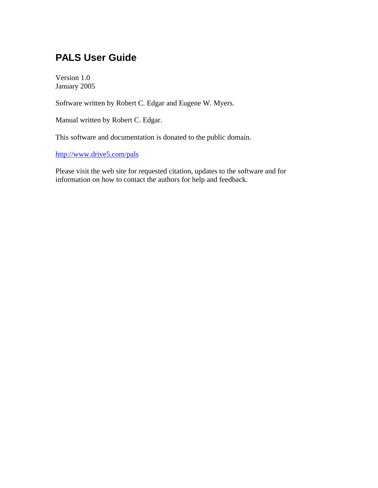# **PALS User Guide**

Version 1.0 January 2005

Software written by Robert C. Edgar and Eugene W. Myers.

Manual written by Robert C. Edgar.

This software and documentation is donated to the public domain.

http://www.drive5.com/pals

Please visit the web site for requested citation, updates to the software and for information on how to contact the authors for help and feedback.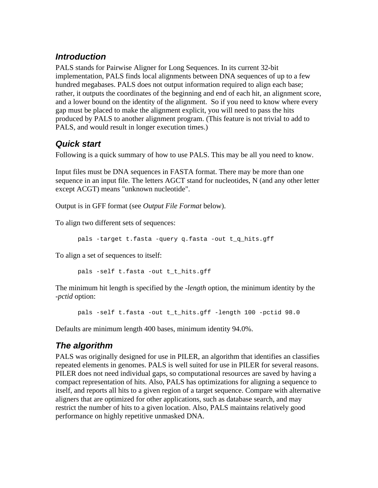## *Introduction*

PALS stands for Pairwise Aligner for Long Sequences. In its current 32-bit implementation, PALS finds local alignments between DNA sequences of up to a few hundred megabases. PALS does not output information required to align each base; rather, it outputs the coordinates of the beginning and end of each hit, an alignment score, and a lower bound on the identity of the alignment. So if you need to know where every gap must be placed to make the alignment explicit, you will need to pass the hits produced by PALS to another alignment program. (This feature is not trivial to add to PALS, and would result in longer execution times.)

# *Quick start*

Following is a quick summary of how to use PALS. This may be all you need to know.

Input files must be DNA sequences in FASTA format. There may be more than one sequence in an input file. The letters AGCT stand for nucleotides, N (and any other letter except ACGT) means "unknown nucleotide".

Output is in GFF format (see *Output File Format* below).

To align two different sets of sequences:

pals -target t.fasta -query q.fasta -out t\_q\_hits.gff

To align a set of sequences to itself:

pals -self t.fasta -out t\_t\_hits.gff

The minimum hit length is specified by the -*length* option, the minimum identity by the -*pctid* option:

pals -self t.fasta -out t\_t\_hits.gff -length 100 -pctid 98.0

Defaults are minimum length 400 bases, minimum identity 94.0%.

## *The algorithm*

PALS was originally designed for use in PILER, an algorithm that identifies an classifies repeated elements in genomes. PALS is well suited for use in PILER for several reasons. PILER does not need individual gaps, so computational resources are saved by having a compact representation of hits. Also, PALS has optimizations for aligning a sequence to itself, and reports all hits to a given region of a target sequence. Compare with alternative aligners that are optimized for other applications, such as database search, and may restrict the number of hits to a given location. Also, PALS maintains relatively good performance on highly repetitive unmasked DNA.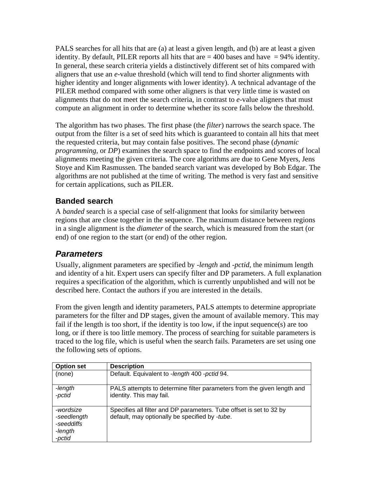PALS searches for all hits that are (a) at least a given length, and (b) are at least a given identity. By default, PILER reports all hits that are  $= 400$  bases and have  $= 94\%$  identity. In general, these search criteria yields a distinctively different set of hits compared with aligners that use an *e*-value threshold (which will tend to find shorter alignments with higher identity and longer alignments with lower identity). A technical advantage of the PILER method compared with some other aligners is that very little time is wasted on alignments that do not meet the search criteria, in contrast to *e*-value aligners that must compute an alignment in order to determine whether its score falls below the threshold.

The algorithm has two phases. The first phase (the *filter*) narrows the search space. The output from the filter is a set of seed hits which is guaranteed to contain all hits that meet the requested criteria, but may contain false positives. The second phase (*dynamic programming*, or *DP*) examines the search space to find the endpoints and scores of local alignments meeting the given criteria. The core algorithms are due to Gene Myers, Jens Stoye and Kim Rasmussen. The banded search variant was developed by Bob Edgar. The algorithms are not published at the time of writing. The method is very fast and sensitive for certain applications, such as PILER.

### **Banded search**

A *banded* search is a special case of self-alignment that looks for similarity between regions that are close together in the sequence. The maximum distance between regions in a single alignment is the *diameter* of the search, which is measured from the start (or end) of one region to the start (or end) of the other region.

## *Parameters*

Usually, alignment parameters are specified by -*length* and -*pctid*, the minimum length and identity of a hit. Expert users can specify filter and DP parameters. A full explanation requires a specification of the algorithm, which is currently unpublished and will not be described here. Contact the authors if you are interested in the details.

From the given length and identity parameters, PALS attempts to determine appropriate parameters for the filter and DP stages, given the amount of available memory. This may fail if the length is too short, if the identity is too low, if the input sequence(s) are too long, or if there is too little memory. The process of searching for suitable parameters is traced to the log file, which is useful when the search fails. Parameters are set using one the following sets of options.

| <b>Option set</b>                                           | <b>Description</b>                                                                                                    |
|-------------------------------------------------------------|-----------------------------------------------------------------------------------------------------------------------|
| (none)                                                      | Default. Equivalent to -length 400 - pctid 94.                                                                        |
| -length<br>-pctid                                           | PALS attempts to determine filter parameters from the given length and<br>identity. This may fail.                    |
| -wordsize<br>-seedlength<br>-seeddiffs<br>-length<br>-pctid | Specifies all filter and DP parameters. Tube offset is set to 32 by<br>default, may optionally be specified by -tube. |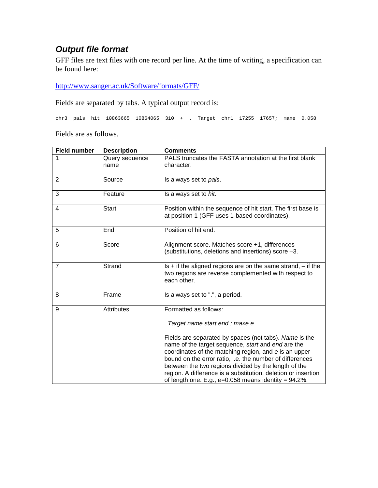# *Output file format*

GFF files are text files with one record per line. At the time of writing, a specification can be found here:

http://www.sanger.ac.uk/Software/formats/GFF/

Fields are separated by tabs. A typical output record is:

chr3 pals hit 10863665 10864065 310 + . Target chr1 17255 17657; maxe 0.058

Fields are as follows.

| <b>Field number</b> | <b>Description</b>     | <b>Comments</b>                                                                                                                                                                                                                                                                                                                                                                                                      |
|---------------------|------------------------|----------------------------------------------------------------------------------------------------------------------------------------------------------------------------------------------------------------------------------------------------------------------------------------------------------------------------------------------------------------------------------------------------------------------|
|                     | Query sequence<br>name | PALS truncates the FASTA annotation at the first blank<br>character.                                                                                                                                                                                                                                                                                                                                                 |
| 2                   | Source                 | Is always set to pals.                                                                                                                                                                                                                                                                                                                                                                                               |
| 3                   | Feature                | Is always set to hit.                                                                                                                                                                                                                                                                                                                                                                                                |
| $\overline{4}$      | <b>Start</b>           | Position within the sequence of hit start. The first base is<br>at position 1 (GFF uses 1-based coordinates).                                                                                                                                                                                                                                                                                                        |
| 5                   | End                    | Position of hit end.                                                                                                                                                                                                                                                                                                                                                                                                 |
| 6                   | Score                  | Alignment score. Matches score +1, differences<br>(substitutions, deletions and insertions) score -3.                                                                                                                                                                                                                                                                                                                |
| $\overline{7}$      | Strand                 | Is $+$ if the aligned regions are on the same strand, $-$ if the<br>two regions are reverse complemented with respect to<br>each other.                                                                                                                                                                                                                                                                              |
| 8                   | Frame                  | Is always set to ".", a period.                                                                                                                                                                                                                                                                                                                                                                                      |
| 9                   | <b>Attributes</b>      | Formatted as follows:                                                                                                                                                                                                                                                                                                                                                                                                |
|                     |                        | Target name start end; maxe e                                                                                                                                                                                                                                                                                                                                                                                        |
|                     |                        | Fields are separated by spaces (not tabs). Name is the<br>name of the target sequence, start and end are the<br>coordinates of the matching region, and e is an upper<br>bound on the error ratio, i.e. the number of differences<br>between the two regions divided by the length of the<br>region. A difference is a substitution, deletion or insertion<br>of length one. E.g., $e=0.058$ means identity = 94.2%. |